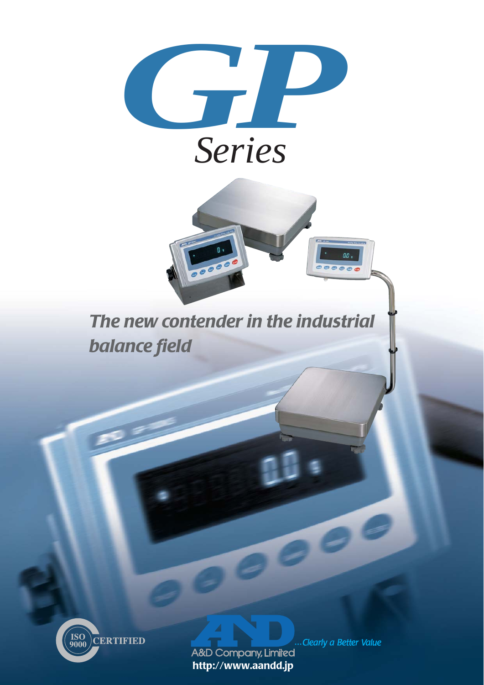





A&D Company, Limited  **http://www.aandd.jp**

... Clearly a Better Value

 $a\overline{a}$ .  $001$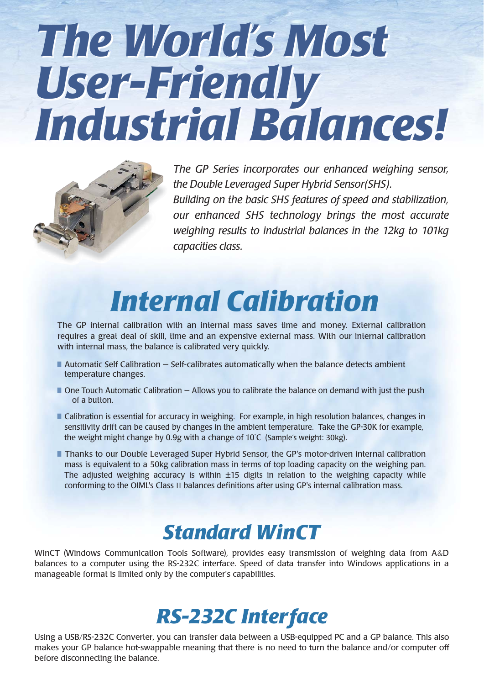# *The World's Most The World's Most User-Friendly User-Friendly Industrial Balances! Industrial Balances!*



*The GP Series incorporates our enhanced weighing sensor, the Double Leveraged Super Hybrid Sensor(SHS). Building on the basic SHS features of speed and stabilization, our enhanced SHS technology brings the most accurate weighing results to industrial balances in the 12kg to 101kg capacities class.*

## *Internal Calibration*

The GP internal calibration with an internal mass saves time and money. External calibration requires a great deal of skill, time and an expensive external mass. With our internal calibration with internal mass, the balance is calibrated very quickly.

- $\blacksquare$  Automatic Self Calibration  $-$  Self-calibrates automatically when the balance detects ambient temperature changes.
- One Touch Automatic Calibration Allows you to calibrate the balance on demand with just the push of a button.
- Calibration is essential for accuracy in weighing. For example, in high resolution balances, changes in sensitivity drift can be caused by changes in the ambient temperature. Take the GP-30K for example, the weight might change by 0.9g with a change of 10˚C (Sample's weight: 30kg).
- Thanks to our Double Leveraged Super Hybrid Sensor, the GP's motor-driven internal calibration mass is equivalent to a 50kg calibration mass in terms of top loading capacity on the weighing pan. The adjusted weighing accuracy is within ±15 digits in relation to the weighing capacity while conforming to the OIML's Class II balances definitions after using GP's internal calibration mass.

### *Standard WinCT*

WinCT (Windows Communication Tools Software), provides easy transmission of weighing data from A&D balances to a computer using the RS-232C interface. Speed of data transfer into Windows applications in a manageable format is limited only by the computer's capabilities.

### *RS-232C Interface*

Using a USB/RS-232C Converter, you can transfer data between a USB-equipped PC and a GP balance. This also makes your GP balance hot-swappable meaning that there is no need to turn the balance and/or computer off before disconnecting the balance.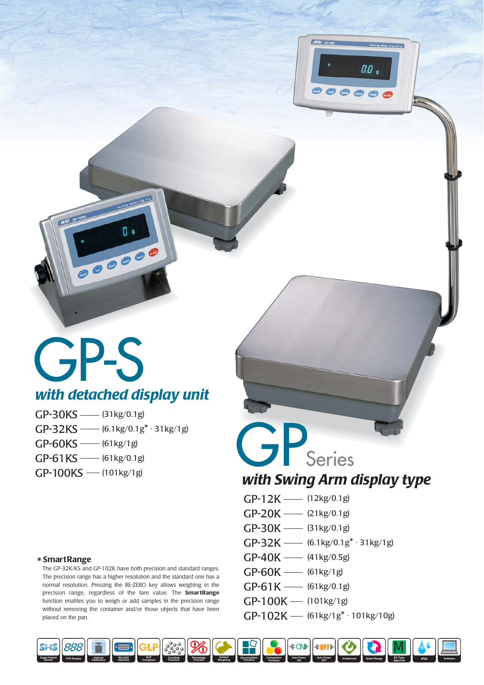

## GP-S *with detached display unit*

......

 $GP-30KS$  —— (31kg/0.1g)  $GP-32KS$  —— (6.1kg/0.1g\*  $\cdot$  31kg/1g)  $GP-60KS$  —— (61kg/1g)  $GP-61KS$  (61kg/0.1g)  $GP-100KS$  — (101kg/1g)

#### \* **SmartRange**

The GP-32K/KS and GP-102K have both precision and standard ranges. The precision range has a higher resolution and the standard one has a normal resolution. Pressing the RE-ZERO key allows weighing in the precision range, regardless of the tare value. The **SmartRange** function enables you to weigh or add samples in the precision range without removing the container and/or those objects that have been placed on the pan.

### GPSeries *with Swing Arm display type*

- 
- $GP-12K$   $(12kg/0.1g)$
- GP-20K (21kg/0.1g)
- GP-30K (31kg/0.1g)
- $GP-32K$   $(6.1kg/0.1g^* \cdot 31kg/1g)$
- $GP-40K$   $(41kg/0.5g)$
- $GP-60K$   $(61kg/1g)$
- $GP-61K$  (61kg/0.1g)
- $GP-100K$  (101kg/1g)
- $GP-102K$   $(61kg/1g^* \cdot 101kg/10g)$

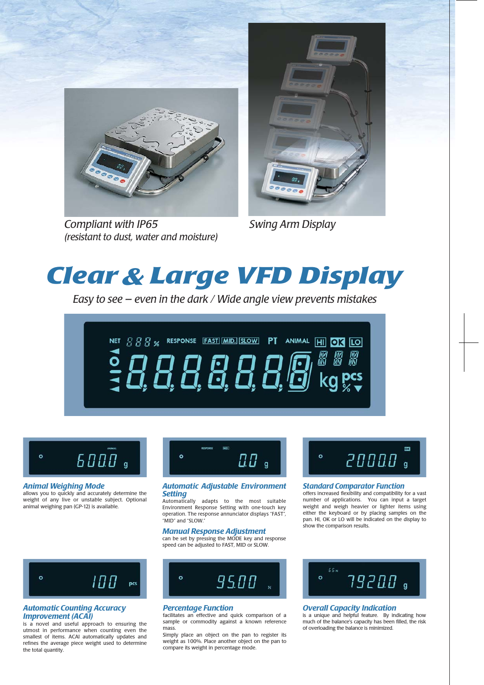

*Compliant with IP65 (resistant to dust, water and moisture)*



*Swing Arm Display*

### **Clear & Large VFD Display**

*Easy to see — even in the dark / Wide angle view prevents mistakes*





#### *Animal Weighing Mode*

allows you to quickly and accurately determine the weight of any live or unstable subject. Optional animal weighing pan (GP-12) is available.



#### *Automatic Adjustable Environment Setting*

Automatically adapts to the most suitable Environment Response Setting with one-touch key operation. The response annunciator displays "FAST", "MID" and "SLOW.

#### *Manual Response Adjustment*

can be set by pressing the MODE key and response speed can be adjusted to FAST, MID or SLOW.



#### *Automatic Counting Accuracy Improvement (ACAI)*

is a novel and useful approach to ensuring the utmost in performance when counting even the smallest of items. ACAI automatically updates and refines the average piece weight used to determine the total quantity.



#### *Percentage Function*

facilitates an effective and quick comparison of a sample or commodity against a known reference mass.

Simply place an object on the pan to register its weight as 100%. Place another object on the pan to compare its weight in percentage mode.



#### *Standard Comparator Function*

offers increased flexibility and compatibility for a vast number of applications. You can input a target weight and weigh heavier or lighter items using either the keyboard or by placing samples on the pan. HI, OK or LO will be indicated on the display to show the comparison results.



#### *Overall Capacity Indication*

is a unique and helpful feature. By indicating how much of the balance's capacity has been filled, the risk of overloading the balance is minimized.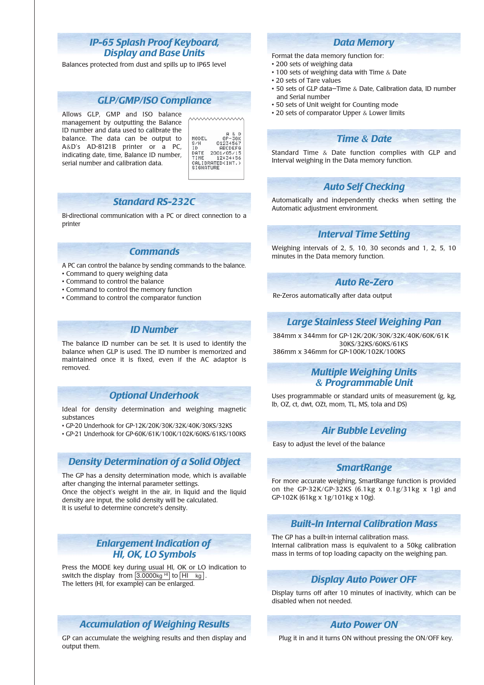#### *IP-65 Splash Proof Keyboard, Display and Base Units*

Balances protected from dust and spills up to IP65 level

#### *GLP/GMP/ISO Compliance*

Allows GLP, GMP and ISO balance management by outputting the Balance ID number and data used to calibrate the balance. The data can be output to A&D's AD-8121B printer or a PC, indicating date, time, Balance ID number, serial number and calibration data.

|           | QR               |
|-----------|------------------|
| MODEL     | 6P-30K           |
| S/N       | 01234567         |
| TD.       | <b>ABCDEFG</b>   |
| DATE      | 2001/05/15       |
| TIME      | 12:34:56         |
|           | CALIBRATED(INT.) |
| SIGNATURE |                  |
|           |                  |

wwwww

#### *Standard RS-232C*

Bi-directional communication with a PC or direct connection to a printer

#### *Commands*

- A PC can control the balance by sending commands to the balance.
- Command to query weighing data
- Command to control the balance
- Command to control the memory function
- Command to control the comparator function

#### *ID Number*

The balance ID number can be set. It is used to identify the balance when GLP is used. The ID number is memorized and maintained once it is fixed, even if the AC adaptor is removed.

#### *Optional Underhook*

Ideal for density determination and weighing magnetic substances

• GP-20 Underhook for GP-12K/20K/30K/32K/40K/30KS/32KS

• GP-21 Underhook for GP-60K/61K/100K/102K/60KS/61KS/100KS

#### *Density Determination of a Solid Object*

The GP has a density determination mode, which is available after changing the internal parameter settings. Once the object's weight in the air, in liquid and the liquid density are input, the solid density will be calculated. It is useful to determine concrete's density.

#### *Enlargement Indication of HI, OK, LO Symbols*

Press the MODE key during usual HI, OK or LO indication to switch the display from  $\overline{3.0000$ kg <sup>HI</sup> to  $\overline{H1 \text{ kg}}$ . The letters (HI, for example) can be enlarged.

#### *Accumulation of Weighing Results*

GP can accumulate the weighing results and then display and output them.

#### *Data Memory*

- Format the data memory function for:
- 200 sets of weighing data
- 100 sets of weighing data with Time & Date
- 20 sets of Tare values
- 50 sets of GLP data—Time & Date, Calibration data, ID number and Serial number
- 50 sets of Unit weight for Counting mode
- 20 sets of comparator Upper & Lower limits

#### *Time & Date*

Standard Time & Date function complies with GLP and Interval weighing in the Data memory function.

#### *Auto Self Checking*

Automatically and independently checks when setting the Automatic adjustment environment.

### *Interval Time Setting*

Weighing intervals of 2, 5, 10, 30 seconds and 1, 2, 5, 10 minutes in the Data memory function.

#### *Auto Re-Zero*

Re-Zeros automatically after data output

#### *Large Stainless Steel Weighing Pan*

384mm x 344mm for GP-12K/20K/30K/32K/40K/60K/61K 30KS/32KS/60KS/61KS 386mm x 346mm for GP-100K/102K/100KS

#### *Multiple Weighing Units & Programmable Unit*

Uses programmable or standard units of measurement (g, kg, lb, OZ, ct, dwt, OZt, mom, TL, MS, tola and DS)

#### *Air Bubble Leveling*

Easy to adjust the level of the balance

#### *SmartRange*

For more accurate weighing, SmartRange function is provided on the GP-32K/GP-32KS  $(6.1 \text{kg} \times 0.1 \text{g}/31 \text{kg} \times 1 \text{g})$  and GP-102K (61kg x 1g/101kg x 10g).

#### *Built-In Internal Calibration Mass*

The GP has a built-in internal calibration mass. Internal calibration mass is equivalent to a 50kg calibration mass in terms of top loading capacity on the weighing pan.

#### *Display Auto Power OFF*

Display turns off after 10 minutes of inactivity, which can be disabled when not needed.

#### *Auto Power ON*

Plug it in and it turns ON without pressing the ON/OFF key.